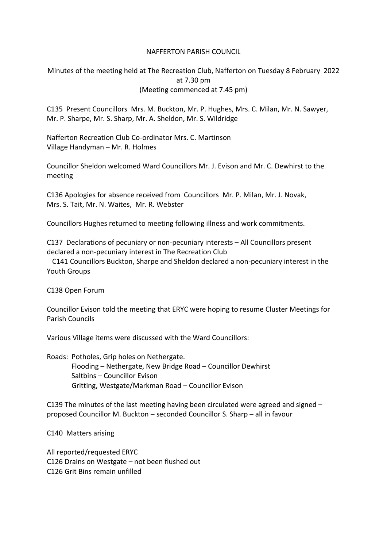## NAFFERTON PARISH COUNCIL

Minutes of the meeting held at The Recreation Club, Nafferton on Tuesday 8 February 2022 at 7.30 pm (Meeting commenced at 7.45 pm)

C135 Present Councillors Mrs. M. Buckton, Mr. P. Hughes, Mrs. C. Milan, Mr. N. Sawyer, Mr. P. Sharpe, Mr. S. Sharp, Mr. A. Sheldon, Mr. S. Wildridge

Nafferton Recreation Club Co-ordinator Mrs. C. Martinson Village Handyman – Mr. R. Holmes

Councillor Sheldon welcomed Ward Councillors Mr. J. Evison and Mr. C. Dewhirst to the meeting

C136 Apologies for absence received from Councillors Mr. P. Milan, Mr. J. Novak, Mrs. S. Tait, Mr. N. Waites, Mr. R. Webster

Councillors Hughes returned to meeting following illness and work commitments.

C137 Declarations of pecuniary or non-pecuniary interests – All Councillors present declared a non-pecuniary interest in The Recreation Club

 C141 Councillors Buckton, Sharpe and Sheldon declared a non-pecuniary interest in the Youth Groups

C138 Open Forum

Councillor Evison told the meeting that ERYC were hoping to resume Cluster Meetings for Parish Councils

Various Village items were discussed with the Ward Councillors:

Roads: Potholes, Grip holes on Nethergate. Flooding – Nethergate, New Bridge Road – Councillor Dewhirst Saltbins – Councillor Evison Gritting, Westgate/Markman Road – Councillor Evison

C139 The minutes of the last meeting having been circulated were agreed and signed – proposed Councillor M. Buckton – seconded Councillor S. Sharp – all in favour

C140 Matters arising

All reported/requested ERYC C126 Drains on Westgate – not been flushed out C126 Grit Bins remain unfilled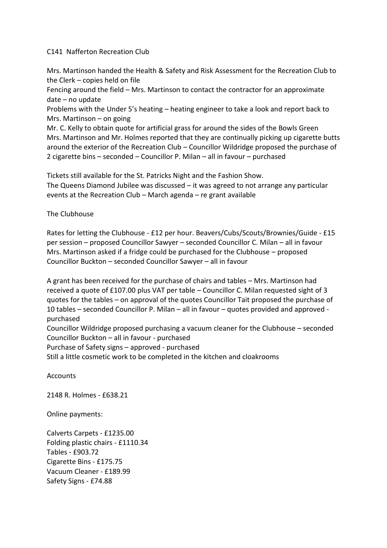## C141 Nafferton Recreation Club

Mrs. Martinson handed the Health & Safety and Risk Assessment for the Recreation Club to the Clerk – copies held on file

Fencing around the field – Mrs. Martinson to contact the contractor for an approximate date – no update

Problems with the Under 5's heating – heating engineer to take a look and report back to Mrs. Martinson – on going

Mr. C. Kelly to obtain quote for artificial grass for around the sides of the Bowls Green Mrs. Martinson and Mr. Holmes reported that they are continually picking up cigarette butts around the exterior of the Recreation Club – Councillor Wildridge proposed the purchase of 2 cigarette bins – seconded – Councillor P. Milan – all in favour – purchased

Tickets still available for the St. Patricks Night and the Fashion Show. The Queens Diamond Jubilee was discussed – it was agreed to not arrange any particular events at the Recreation Club – March agenda – re grant available

## The Clubhouse

Rates for letting the Clubhouse - £12 per hour. Beavers/Cubs/Scouts/Brownies/Guide - £15 per session – proposed Councillor Sawyer – seconded Councillor C. Milan – all in favour Mrs. Martinson asked if a fridge could be purchased for the Clubhouse – proposed Councillor Buckton – seconded Councillor Sawyer – all in favour

A grant has been received for the purchase of chairs and tables – Mrs. Martinson had received a quote of £107.00 plus VAT per table – Councillor C. Milan requested sight of 3 quotes for the tables – on approval of the quotes Councillor Tait proposed the purchase of 10 tables – seconded Councillor P. Milan – all in favour – quotes provided and approved purchased Councillor Wildridge proposed purchasing a vacuum cleaner for the Clubhouse – seconded

Councillor Buckton – all in favour - purchased

Purchase of Safety signs – approved - purchased

Still a little cosmetic work to be completed in the kitchen and cloakrooms

**Accounts** 

2148 R. Holmes - £638.21

Online payments:

Calverts Carpets - £1235.00 Folding plastic chairs - £1110.34 Tables - £903.72 Cigarette Bins - £175.75 Vacuum Cleaner - £189.99 Safety Signs - £74.88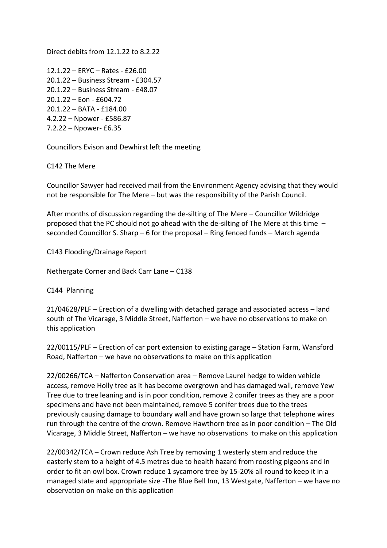Direct debits from 12.1.22 to 8.2.22

12.1.22 – ERYC – Rates - £26.00 20.1.22 – Business Stream - £304.57 20.1.22 – Business Stream - £48.07 20.1.22 – Eon - £604.72 20.1.22 – BATA - £184.00 4.2.22 – Npower - £586.87 7.2.22 – Npower- £6.35

Councillors Evison and Dewhirst left the meeting

C142 The Mere

Councillor Sawyer had received mail from the Environment Agency advising that they would not be responsible for The Mere – but was the responsibility of the Parish Council.

After months of discussion regarding the de-silting of The Mere – Councillor Wildridge proposed that the PC should not go ahead with the de-silting of The Mere at this time – seconded Councillor S. Sharp – 6 for the proposal – Ring fenced funds – March agenda

C143 Flooding/Drainage Report

Nethergate Corner and Back Carr Lane – C138

C144 Planning

21/04628/PLF – Erection of a dwelling with detached garage and associated access – land south of The Vicarage, 3 Middle Street, Nafferton – we have no observations to make on this application

22/00115/PLF – Erection of car port extension to existing garage – Station Farm, Wansford Road, Nafferton – we have no observations to make on this application

22/00266/TCA – Nafferton Conservation area – Remove Laurel hedge to widen vehicle access, remove Holly tree as it has become overgrown and has damaged wall, remove Yew Tree due to tree leaning and is in poor condition, remove 2 conifer trees as they are a poor specimens and have not been maintained, remove 5 conifer trees due to the trees previously causing damage to boundary wall and have grown so large that telephone wires run through the centre of the crown. Remove Hawthorn tree as in poor condition – The Old Vicarage, 3 Middle Street, Nafferton – we have no observations to make on this application

22/00342/TCA – Crown reduce Ash Tree by removing 1 westerly stem and reduce the easterly stem to a height of 4.5 metres due to health hazard from roosting pigeons and in order to fit an owl box. Crown reduce 1 sycamore tree by 15-20% all round to keep it in a managed state and appropriate size -The Blue Bell Inn, 13 Westgate, Nafferton – we have no observation on make on this application